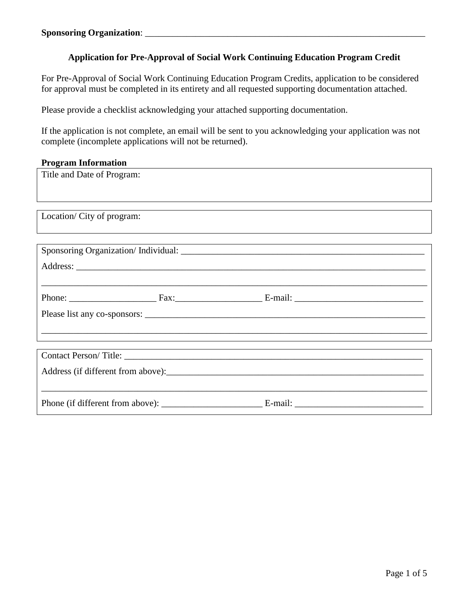# **Application for Pre-Approval of Social Work Continuing Education Program Credit**

For Pre-Approval of Social Work Continuing Education Program Credits, application to be considered for approval must be completed in its entirety and all requested supporting documentation attached.

Please provide a checklist acknowledging your attached supporting documentation.

If the application is not complete, an email will be sent to you acknowledging your application was not complete (incomplete applications will not be returned).

### **Program Information**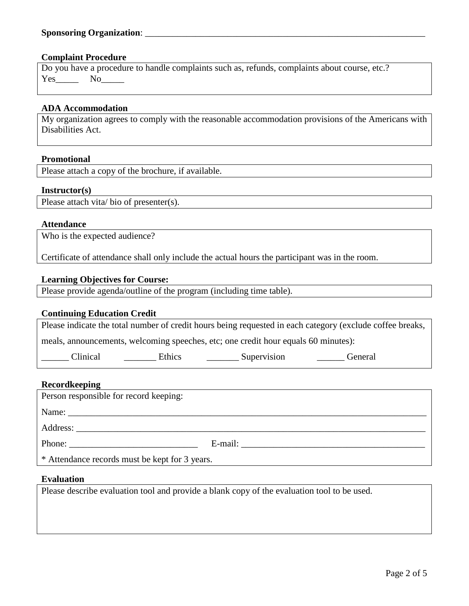### **Complaint Procedure**

|        | Do you have a procedure to handle complaints such as, refunds, complaints about course, etc.? |  |
|--------|-----------------------------------------------------------------------------------------------|--|
| Yes No |                                                                                               |  |

### **ADA Accommodation**

My organization agrees to comply with the reasonable accommodation provisions of the Americans with Disabilities Act.

### **Promotional**

Please attach a copy of the brochure, if available.

### **Instructor(s)**

Please attach vita/ bio of presenter(s).

### **Attendance**

Who is the expected audience?

Certificate of attendance shall only include the actual hours the participant was in the room.

## **Learning Objectives for Course:**

Please provide agenda/outline of the program (including time table).

# **Continuing Education Credit**

Please indicate the total number of credit hours being requested in each category (exclude coffee breaks,

meals, announcements, welcoming speeches, etc; one credit hour equals 60 minutes):

\_\_\_\_\_\_ Clinical \_\_\_\_\_\_\_ Ethics \_\_\_\_\_\_\_ Supervision \_\_\_\_\_\_ General

### **Recordkeeping**

| Person responsible for record keeping:         |  |  |  |  |
|------------------------------------------------|--|--|--|--|
|                                                |  |  |  |  |
|                                                |  |  |  |  |
|                                                |  |  |  |  |
| * Attendance records must be kept for 3 years. |  |  |  |  |

### **Evaluation**

Please describe evaluation tool and provide a blank copy of the evaluation tool to be used.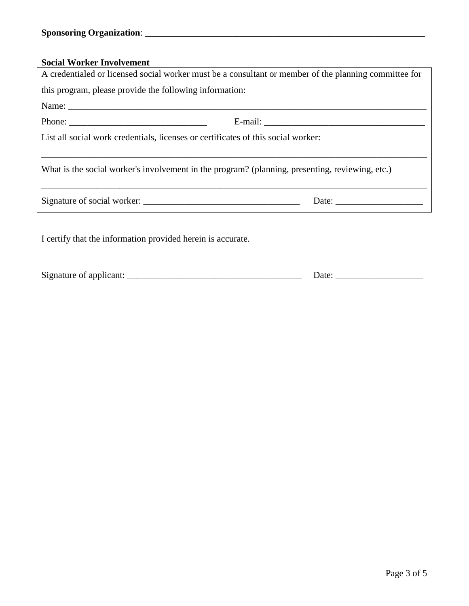# **Social Worker Involvement**

| A credentialed or licensed social worker must be a consultant or member of the planning committee for |       |  |  |  |
|-------------------------------------------------------------------------------------------------------|-------|--|--|--|
| this program, please provide the following information:                                               |       |  |  |  |
|                                                                                                       |       |  |  |  |
|                                                                                                       |       |  |  |  |
| List all social work credentials, licenses or certificates of this social worker:                     |       |  |  |  |
|                                                                                                       |       |  |  |  |
| What is the social worker's involvement in the program? (planning, presenting, reviewing, etc.)       |       |  |  |  |
|                                                                                                       |       |  |  |  |
|                                                                                                       |       |  |  |  |
|                                                                                                       |       |  |  |  |
| I certify that the information provided herein is accurate.                                           |       |  |  |  |
|                                                                                                       |       |  |  |  |
|                                                                                                       |       |  |  |  |
|                                                                                                       | Date: |  |  |  |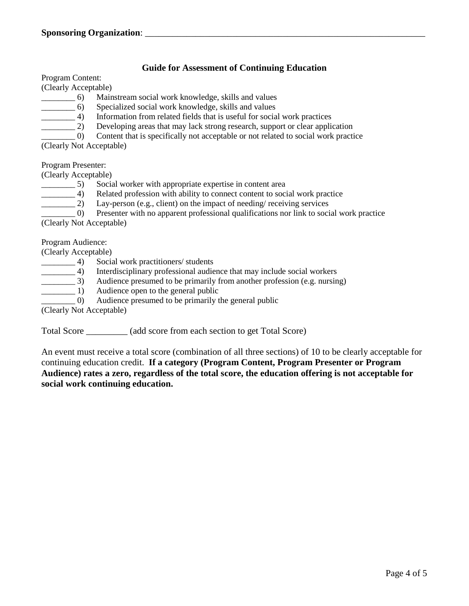## **Guide for Assessment of Continuing Education**

Program Content:

(Clearly Acceptable)

- \_\_\_\_\_\_\_\_ 6) Mainstream social work knowledge, skills and values
- \_\_\_\_\_\_\_\_ 6) Specialized social work knowledge, skills and values
- \_\_\_\_\_\_\_\_ 4) Information from related fields that is useful for social work practices
- <sup>2</sup> Developing areas that may lack strong research, support or clear application
- \_\_\_\_\_\_\_\_ 0) Content that is specifically not acceptable or not related to social work practice

(Clearly Not Acceptable)

Program Presenter:

(Clearly Acceptable)

- \_\_\_\_\_\_\_\_ 5) Social worker with appropriate expertise in content area
- 4) Related profession with ability to connect content to social work practice<br>
2) Lay-person (e.g., client) on the impact of needing/ receiving services
	- Lay-person (e.g., client) on the impact of needing/ receiving services

\_\_\_\_\_\_\_\_ 0) Presenter with no apparent professional qualifications nor link to social work practice (Clearly Not Acceptable)

Program Audience:

(Clearly Acceptable)

- \_\_\_\_\_\_\_\_ 4) Social work practitioners/ students
	-
- 4) Interdisciplinary professional audience that may include social workers<br>
4) Audience presumed to be primarily from another profession (e.g. nursing (a) Audience presumed to be primarily from another profession (e.g. nursing)<br>
(a) Audience open to the general public
	- Audience open to the general public

\_\_\_\_\_\_\_\_ 0) Audience presumed to be primarily the general public

(Clearly Not Acceptable)

Total Score \_\_\_\_\_\_\_\_\_ (add score from each section to get Total Score)

An event must receive a total score (combination of all three sections) of 10 to be clearly acceptable for continuing education credit. **If a category (Program Content, Program Presenter or Program Audience) rates a zero, regardless of the total score, the education offering is not acceptable for social work continuing education.**